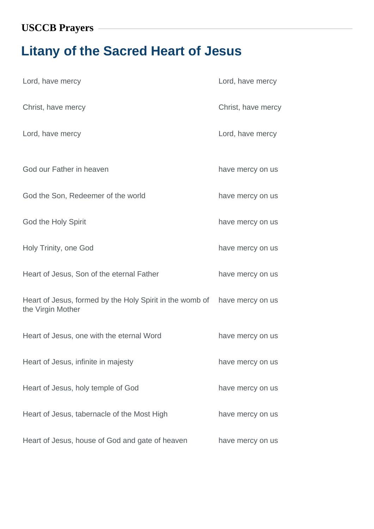## **Litany of the Sacred Heart of Jesus**

| Lord, have mercy                                                              | Lord, have mercy   |
|-------------------------------------------------------------------------------|--------------------|
| Christ, have mercy                                                            | Christ, have mercy |
| Lord, have mercy                                                              | Lord, have mercy   |
| God our Father in heaven                                                      | have mercy on us   |
| God the Son, Redeemer of the world                                            | have mercy on us   |
| God the Holy Spirit                                                           | have mercy on us   |
| Holy Trinity, one God                                                         | have mercy on us   |
| Heart of Jesus, Son of the eternal Father                                     | have mercy on us   |
| Heart of Jesus, formed by the Holy Spirit in the womb of<br>the Virgin Mother | have mercy on us   |
| Heart of Jesus, one with the eternal Word                                     | have mercy on us   |
| Heart of Jesus, infinite in majesty                                           | have mercy on us   |
| Heart of Jesus, holy temple of God                                            | have mercy on us   |
| Heart of Jesus, tabernacle of the Most High                                   | have mercy on us   |
| Heart of Jesus, house of God and gate of heaven                               | have mercy on us   |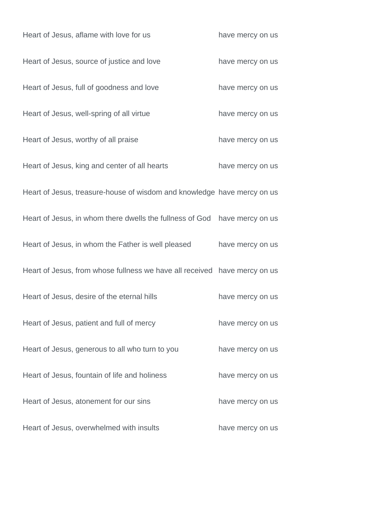| Heart of Jesus, aflame with love for us                                   | have mercy on us |
|---------------------------------------------------------------------------|------------------|
| Heart of Jesus, source of justice and love                                | have mercy on us |
| Heart of Jesus, full of goodness and love                                 | have mercy on us |
| Heart of Jesus, well-spring of all virtue                                 | have mercy on us |
| Heart of Jesus, worthy of all praise                                      | have mercy on us |
| Heart of Jesus, king and center of all hearts                             | have mercy on us |
| Heart of Jesus, treasure-house of wisdom and knowledge have mercy on us   |                  |
| Heart of Jesus, in whom there dwells the fullness of God                  | have mercy on us |
| Heart of Jesus, in whom the Father is well pleased                        | have mercy on us |
| Heart of Jesus, from whose fullness we have all received have mercy on us |                  |
| Heart of Jesus, desire of the eternal hills                               | have mercy on us |
| Heart of Jesus, patient and full of mercy                                 | have mercy on us |
| Heart of Jesus, generous to all who turn to you                           | have mercy on us |
| Heart of Jesus, fountain of life and holiness                             | have mercy on us |
| Heart of Jesus, atonement for our sins                                    | have mercy on us |
| Heart of Jesus, overwhelmed with insults                                  | have mercy on us |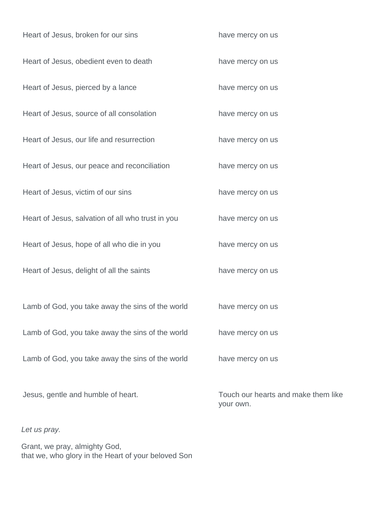| Heart of Jesus, broken for our sins               | have mercy on us                                 |
|---------------------------------------------------|--------------------------------------------------|
| Heart of Jesus, obedient even to death            | have mercy on us                                 |
| Heart of Jesus, pierced by a lance                | have mercy on us                                 |
| Heart of Jesus, source of all consolation         | have mercy on us                                 |
| Heart of Jesus, our life and resurrection         | have mercy on us                                 |
| Heart of Jesus, our peace and reconciliation      | have mercy on us                                 |
| Heart of Jesus, victim of our sins                | have mercy on us                                 |
| Heart of Jesus, salvation of all who trust in you | have mercy on us                                 |
| Heart of Jesus, hope of all who die in you        | have mercy on us                                 |
| Heart of Jesus, delight of all the saints         | have mercy on us                                 |
| Lamb of God, you take away the sins of the world  | have mercy on us                                 |
| Lamb of God, you take away the sins of the world  | have mercy on us                                 |
| Lamb of God, you take away the sins of the world  | have mercy on us                                 |
| Jesus, gentle and humble of heart.                | Touch our hearts and make them like<br>your own. |

Let us pray.

Grant, we pray, almighty God, that we, who glory in the Heart of your beloved Son